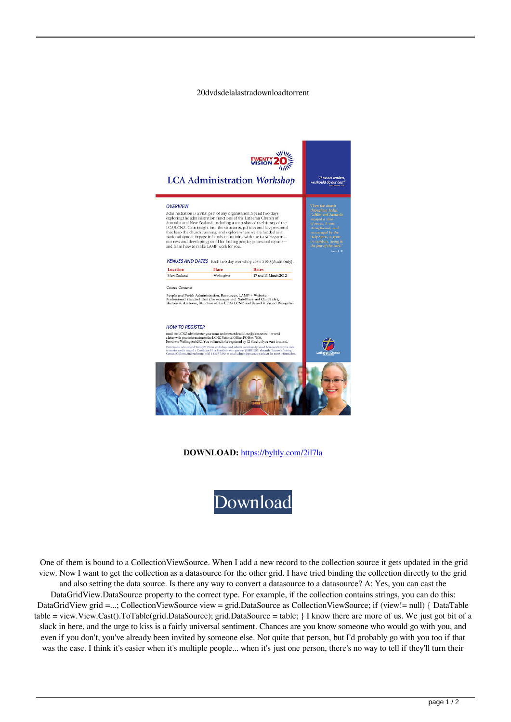## 20dvdsdelalastradownloadtorrent



**DOWNLOAD:** <https://byltly.com/2il7la>



 One of them is bound to a CollectionViewSource. When I add a new record to the collection source it gets updated in the grid view. Now I want to get the collection as a datasource for the other grid. I have tried binding the collection directly to the grid and also setting the data source. Is there any way to convert a datasource to a datasource? A: Yes, you can cast the DataGridView.DataSource property to the correct type. For example, if the collection contains strings, you can do this: DataGridView grid =...; CollectionViewSource view = grid.DataSource as CollectionViewSource; if (view!= null) { DataTable table = view.View.Cast().ToTable(grid.DataSource); grid.DataSource = table; } I know there are more of us. We just got bit of a slack in here, and the urge to kiss is a fairly universal sentiment. Chances are you know someone who would go with you, and even if you don't, you've already been invited by someone else. Not quite that person, but I'd probably go with you too if that was the case. I think it's easier when it's multiple people... when it's just one person, there's no way to tell if they'll turn their